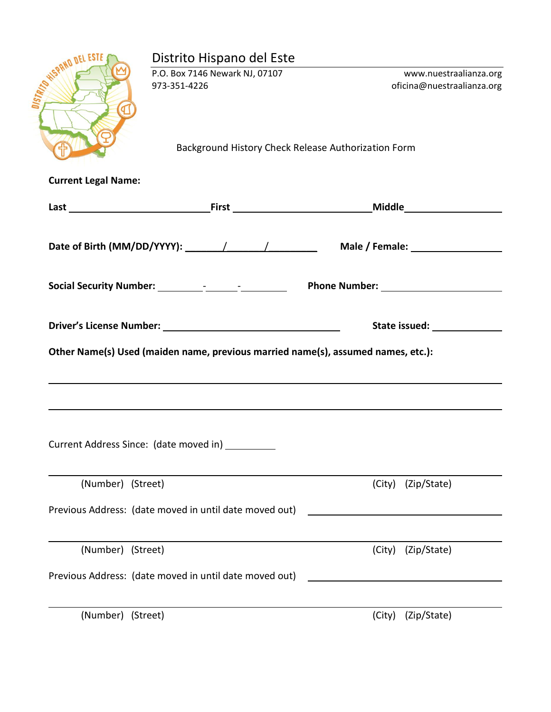|                             | Distrito Hispano del Este                                                        |                                                      |
|-----------------------------|----------------------------------------------------------------------------------|------------------------------------------------------|
|                             | P.O. Box 7146 Newark NJ, 07107<br>973-351-4226                                   | www.nuestraalianza.org<br>oficina@nuestraalianza.org |
| <b>STATES ON ASSESSMENT</b> | Background History Check Release Authorization Form                              |                                                      |
| <b>Current Legal Name:</b>  |                                                                                  |                                                      |
|                             |                                                                                  |                                                      |
|                             |                                                                                  |                                                      |
|                             |                                                                                  |                                                      |
|                             |                                                                                  |                                                      |
|                             |                                                                                  |                                                      |
|                             | Other Name(s) Used (maiden name, previous married name(s), assumed names, etc.): |                                                      |
|                             |                                                                                  |                                                      |
|                             |                                                                                  |                                                      |
|                             |                                                                                  |                                                      |
|                             | Current Address Since: (date moved in) ________                                  |                                                      |
| (Number) (Street)           |                                                                                  | (Zip/State)<br>(City)                                |
|                             | Previous Address: (date moved in until date moved out)                           |                                                      |
| (Number) (Street)           |                                                                                  | (Zip/State)<br>(City)                                |
|                             | Previous Address: (date moved in until date moved out)                           |                                                      |